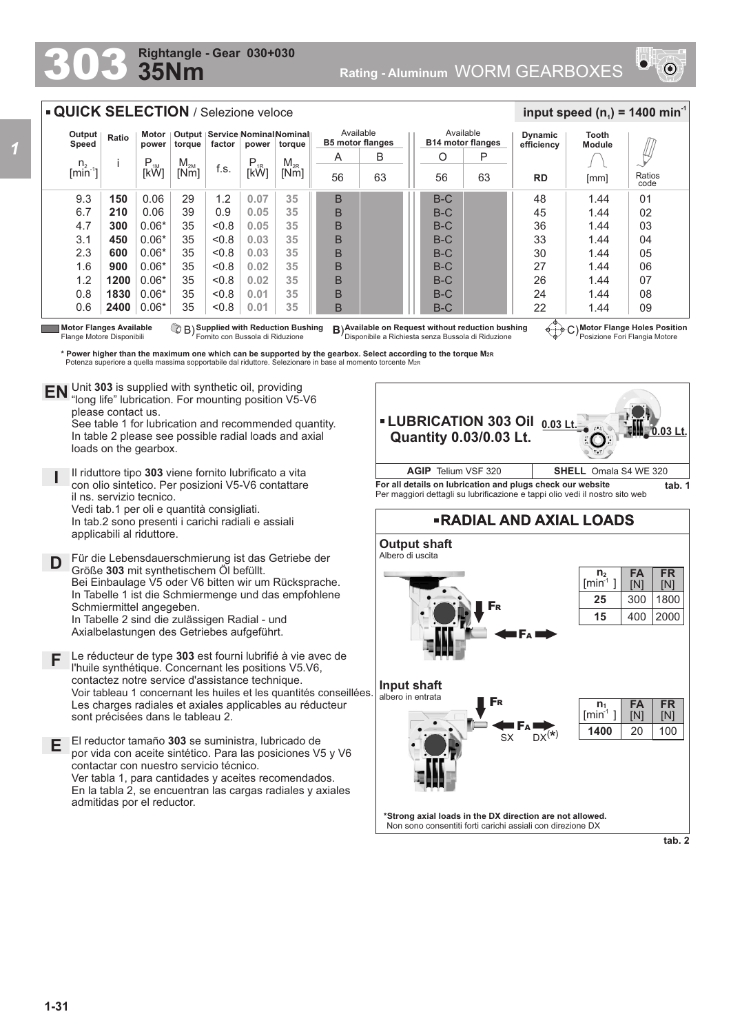## **35Nm Rightangle - Gear 030+030**



## **QUICK SELECTION** / Selezione veloce

| Output<br>Speed            | Ratio | Motor<br>power | torque   | Output   Service Nominal Nominal<br>factor<br>power |          | torque   | Available<br><b>B5 motor flanges</b> |    | Available<br><b>B14 motor flanges</b> |    | <b>Dynamic</b><br>efficiency | Tooth<br><b>Module</b> |                |
|----------------------------|-------|----------------|----------|-----------------------------------------------------|----------|----------|--------------------------------------|----|---------------------------------------|----|------------------------------|------------------------|----------------|
|                            |       | $P_{1M}$       | $M_{2M}$ |                                                     | $P_{1R}$ | $M_{2R}$ | A                                    | B  | O                                     | P  |                              |                        |                |
| $n_2$ [min <sup>-1</sup> ] |       | [kW]           | [Nm]     | f.s.                                                | [kŴ]     | [Nm]     | 56                                   | 63 | 56                                    | 63 | <b>RD</b>                    | [mm]                   | Ratios<br>code |
| 9.3                        | 150   | 0.06           | 29       | 1.2                                                 | 0.07     | 35       | B                                    |    | $B-C$                                 |    | 48                           | 1.44                   | 01             |
| 6.7                        | 210   | 0.06           | 39       | 0.9                                                 | 0.05     | 35       | B                                    |    | $B-C$                                 |    | 45                           | 1.44                   | 02             |
| 4.7                        | 300   | $0.06*$        | 35       | &0.8                                                | 0.05     | 35       | B                                    |    | $B-C$                                 |    | 36                           | 1.44                   | 03             |
| 3.1                        | 450   | $0.06*$        | 35       | &0.8                                                | 0.03     | 35       | B                                    |    | $B-C$                                 |    | 33                           | 1.44                   | 04             |
| 2.3                        | 600   | $0.06*$        | 35       | &0.8                                                | 0.03     | 35       | B                                    |    | $B-C$                                 |    | 30                           | 1.44                   | 05             |
| 1.6                        | 900   | $0.06*$        | 35       | < 0.8                                               | 0.02     | 35       | B                                    |    | $B-C$                                 |    | 27                           | 1.44                   | 06             |
| 1.2                        | 1200  | $0.06*$        | 35       | &0.8                                                | 0.02     | 35       | B                                    |    | $B-C$                                 |    | 26                           | 1.44                   | 07             |
| 0.8                        | 1830  | $0.06*$        | 35       | < 0.8                                               | 0.01     | 35       | B                                    |    | $B-C$                                 |    | 24                           | 1.44                   | 08             |
| 0.6                        | 2400  | $0.06*$        | 35       | &0.8                                                | 0.01     | 35       | B                                    |    | $B-C$                                 |    | 22<br>$\triangle$            | 1.44                   | 09             |

Motor Flanges Available (۞ B) Supplied with Reduction Bushing B)Available on Request without reduction bushing ④.........<br>Flange Motore Disponibili Fornito con Bussola di Riduzione Disponibile a Richiesta

**Motor Flange Holes Position** Posizione Fori Flangia Motore

 $\frac{1}{2}$  **input speed (n**<sub>1</sub>) = 1400 min<sup>-1</sup>

**\* Power higher than the maximum one which can be supported by the gearbox. Select according to the torque M2R** Potenza superiore a quella massima sopportabile dal riduttore. Selezionare in base al momento torcente M<sub>2</sub>

Unit **303** is supplied with synthetic oil, providing **EN** Unit 303 is supplied with synthetic oil, providing<br>"long life" lubrication. For mounting position V5-V6 please contact us.

See table 1 for lubrication and recommended quantity. In table 2 please see possible radial loads and axial loads on the gearbox.

**I** Il riduttore tipo **303** viene fornito lubrificato a vita con olio sintetico. Per posizioni V5-V6 contattare il ns. servizio tecnico. Vedi tab.1 per oli e quantità consigliati. In tab.2 sono presenti i carichi radiali e assiali applicabili al riduttore.

**D** Für die Lebensdauerschmierung ist das Getriebe der<br>**D** Größe 303 mit synthetischem Öl befüllt Größe **303** mit synthetischem Öl befüllt. Bei Einbaulage V5 oder V6 bitten wir um Rücksprache. In Tabelle 1 ist die Schmiermenge und das empfohlene Schmiermittel angegeben. In Tabelle 2 sind die zulässigen Radial - und Axialbelastungen des Getriebes aufgeführt.

**F** Le réducteur de type **303** est fourni lubrifié à vie avec de l'huile synthétique. Concernant les positions V5.V6, contactez notre service d'assistance technique. Voir tableau 1 concernant les huiles et les quantités conseillées. Les charges radiales et axiales applicables au réducteur sont précisées dans le tableau 2.

**E** El reductor tamaño **303** se suministra, lubricado de por vida con aceite sintético. Para las posiciones V5 y V6 contactar con nuestro servicio técnico. Ver tabla 1, para cantidades y aceites recomendados. En la tabla 2, se encuentran las cargas radiales y axiales admitidas por el reductor.

**LUBRICATION 303 Oil 0.03 Lt. 0.03 Lt. Quantity 0.03/0.03 Lt. For all details on lubrication and plugs check our website tab. 1** Per maggiori dettagli su lubrificazione e tappi olio vedi il nostro sito web **AGIP** Telium VSF 320 **SHELL** Omala S4 WE 320

## **RADIAL AND AXIAL LOADS**